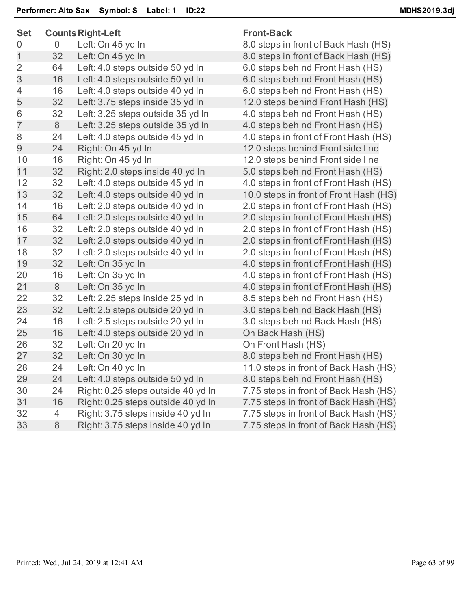| <b>Set</b>     |    | <b>Counts Right-Left</b>           | <b>Front-Back</b> |
|----------------|----|------------------------------------|-------------------|
| 0              | 0  | Left: On 45 yd In                  | 8.0 steps in      |
| $\mathbf 1$    | 32 | Left: On 45 yd In                  | 8.0 steps in      |
| $\overline{2}$ | 64 | Left: 4.0 steps outside 50 yd In   | 6.0 steps be      |
| 3              | 16 | Left: 4.0 steps outside 50 yd In   | 6.0 steps be      |
| 4              | 16 | Left: 4.0 steps outside 40 yd In   | 6.0 steps be      |
| 5              | 32 | Left: 3.75 steps inside 35 yd In   | 12.0 steps b      |
| 6              | 32 | Left: 3.25 steps outside 35 yd In  | 4.0 steps be      |
| $\overline{7}$ | 8  | Left: 3.25 steps outside 35 yd In  | 4.0 steps be      |
| 8              | 24 | Left: 4.0 steps outside 45 yd In   | 4.0 steps in      |
| 9              | 24 | Right: On 45 yd In                 | 12.0 steps b      |
| 10             | 16 | Right: On 45 yd In                 | 12.0 steps b      |
| 11             | 32 | Right: 2.0 steps inside 40 yd In   | 5.0 steps be      |
| 12             | 32 | Left: 4.0 steps outside 45 yd In   | 4.0 steps in      |
| 13             | 32 | Left: 4.0 steps outside 40 yd In   | 10.0 steps in     |
| 14             | 16 | Left: 2.0 steps outside 40 yd In   | 2.0 steps in      |
| 15             | 64 | Left: 2.0 steps outside 40 yd In   | 2.0 steps in      |
| 16             | 32 | Left: 2.0 steps outside 40 yd In   | 2.0 steps in      |
| 17             | 32 | Left: 2.0 steps outside 40 yd In   | 2.0 steps in      |
| 18             | 32 | Left: 2.0 steps outside 40 yd In   | 2.0 steps in      |
| 19             | 32 | Left: On 35 yd In                  | 4.0 steps in      |
| 20             | 16 | Left: On 35 yd In                  | 4.0 steps in      |
| 21             | 8  | Left: On 35 yd In                  | 4.0 steps in      |
| 22             | 32 | Left: 2.25 steps inside 25 yd In   | 8.5 steps be      |
| 23             | 32 | Left: 2.5 steps outside 20 yd In   | 3.0 steps be      |
| 24             | 16 | Left: 2.5 steps outside 20 yd In   | 3.0 steps be      |
| 25             | 16 | Left: 4.0 steps outside 20 yd In   | On Back Ha        |
| 26             | 32 | Left: On 20 yd In                  | On Front Ha       |
| 27             | 32 | Left: On 30 yd In                  | 8.0 steps be      |
| 28             | 24 | Left: On 40 yd In                  | 11.0 steps in     |
| 29             | 24 | Left: 4.0 steps outside 50 yd In   | 8.0 steps be      |
| 30             | 24 | Right: 0.25 steps outside 40 yd In | 7.75 steps in     |
| 31             | 16 | Right: 0.25 steps outside 40 yd In | 7.75 steps in     |
| 32             | 4  | Right: 3.75 steps inside 40 yd In  | 7.75 steps in     |
| 33             | 8  | Right: 3.75 steps inside 40 yd In  | 7.75 steps in     |
|                |    |                                    |                   |

s in front of Back Hash (HS) s in front of Back Hash (HS) s behind Front Hash (HS) s behind Front Hash (HS) s behind Front Hash (HS) ps behind Front Hash (HS) s behind Front Hash (HS) s behind Front Hash (HS) s in front of Front Hash (HS) ps behind Front side line ps behind Front side line s behind Front Hash (HS) s in front of Front Hash (HS) ps in front of Front Hash (HS) s in front of Front Hash (HS) s in front of Front Hash (HS) s in front of Front Hash (HS) s in front of Front Hash (HS) s in front of Front Hash (HS) s in front of Front Hash (HS) s in front of Front Hash (HS) s in front of Front Hash (HS) s behind Front Hash (HS) s behind Back Hash (HS) s behind Back Hash (HS) k Hash (HS) nt Hash (HS) s behind Front Hash (HS) ps in front of Back Hash (HS) s behind Front Hash (HS) ps in front of Back Hash (HS) ps in front of Back Hash (HS) ps in front of Back Hash (HS) ps in front of Back Hash (HS)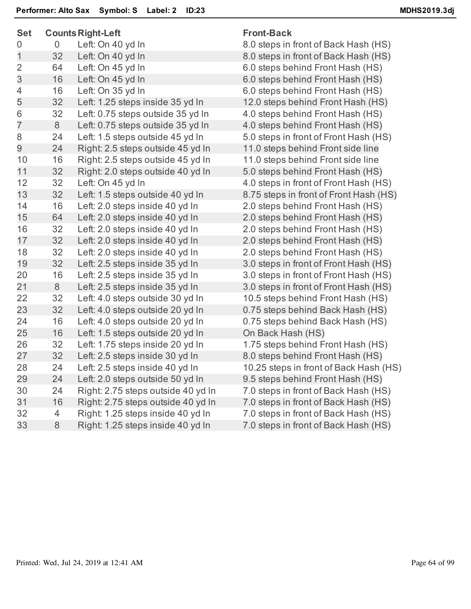| <b>Set</b>     |                | <b>Counts Right-Left</b>           | <b>Front-Back</b>                      |
|----------------|----------------|------------------------------------|----------------------------------------|
| 0              | $\overline{0}$ | Left: On 40 yd In                  | 8.0 steps in front of Back Hash (HS)   |
| 1              | 32             | Left: On 40 yd In                  | 8.0 steps in front of Back Hash (HS)   |
| $\overline{2}$ | 64             | Left: On 45 yd In                  | 6.0 steps behind Front Hash (HS)       |
| 3              | 16             | Left: On 45 yd In                  | 6.0 steps behind Front Hash (HS)       |
| $\overline{4}$ | 16             | Left: On 35 yd In                  | 6.0 steps behind Front Hash (HS)       |
| 5              | 32             | Left: 1.25 steps inside 35 yd In   | 12.0 steps behind Front Hash (HS)      |
| 6              | 32             | Left: 0.75 steps outside 35 yd In  | 4.0 steps behind Front Hash (HS)       |
| $\overline{7}$ | 8              | Left: 0.75 steps outside 35 yd In  | 4.0 steps behind Front Hash (HS)       |
| 8              | 24             | Left: 1.5 steps outside 45 yd In   | 5.0 steps in front of Front Hash (HS)  |
| 9              | 24             | Right: 2.5 steps outside 45 yd In  | 11.0 steps behind Front side line      |
| 10             | 16             | Right: 2.5 steps outside 45 yd In  | 11.0 steps behind Front side line      |
| 11             | 32             | Right: 2.0 steps outside 40 yd In  | 5.0 steps behind Front Hash (HS)       |
| 12             | 32             | Left: On 45 yd In                  | 4.0 steps in front of Front Hash (HS)  |
| 13             | 32             | Left: 1.5 steps outside 40 yd In   | 8.75 steps in front of Front Hash (HS) |
| 14             | 16             | Left: 2.0 steps inside 40 yd In    | 2.0 steps behind Front Hash (HS)       |
| 15             | 64             | Left: 2.0 steps inside 40 yd In    | 2.0 steps behind Front Hash (HS)       |
| 16             | 32             | Left: 2.0 steps inside 40 yd In    | 2.0 steps behind Front Hash (HS)       |
| 17             | 32             | Left: 2.0 steps inside 40 yd In    | 2.0 steps behind Front Hash (HS)       |
| 18             | 32             | Left: 2.0 steps inside 40 yd In    | 2.0 steps behind Front Hash (HS)       |
| 19             | 32             | Left: 2.5 steps inside 35 yd In    | 3.0 steps in front of Front Hash (HS)  |
| 20             | 16             | Left: 2.5 steps inside 35 yd In    | 3.0 steps in front of Front Hash (HS)  |
| 21             | 8              | Left: 2.5 steps inside 35 yd In    | 3.0 steps in front of Front Hash (HS)  |
| 22             | 32             | Left: 4.0 steps outside 30 yd In   | 10.5 steps behind Front Hash (HS)      |
| 23             | 32             | Left: 4.0 steps outside 20 yd In   | 0.75 steps behind Back Hash (HS)       |
| 24             | 16             | Left: 4.0 steps outside 20 yd In   | 0.75 steps behind Back Hash (HS)       |
| 25             | 16             | Left: 1.5 steps outside 20 yd In   | On Back Hash (HS)                      |
| 26             | 32             | Left: 1.75 steps inside 20 yd In   | 1.75 steps behind Front Hash (HS)      |
| 27             | 32             | Left: 2.5 steps inside 30 yd In    | 8.0 steps behind Front Hash (HS)       |
| 28             | 24             | Left: 2.5 steps inside 40 yd In    | 10.25 steps in front of Back Hash (HS) |
| 29             | 24             | Left: 2.0 steps outside 50 yd In   | 9.5 steps behind Front Hash (HS)       |
| 30             | 24             | Right: 2.75 steps outside 40 yd In | 7.0 steps in front of Back Hash (HS)   |
| 31             | 16             | Right: 2.75 steps outside 40 yd In | 7.0 steps in front of Back Hash (HS)   |
| 32             | 4              | Right: 1.25 steps inside 40 yd In  | 7.0 steps in front of Back Hash (HS)   |
| 33             | 8              | Right: 1.25 steps inside 40 yd In  | 7.0 steps in front of Back Hash (HS)   |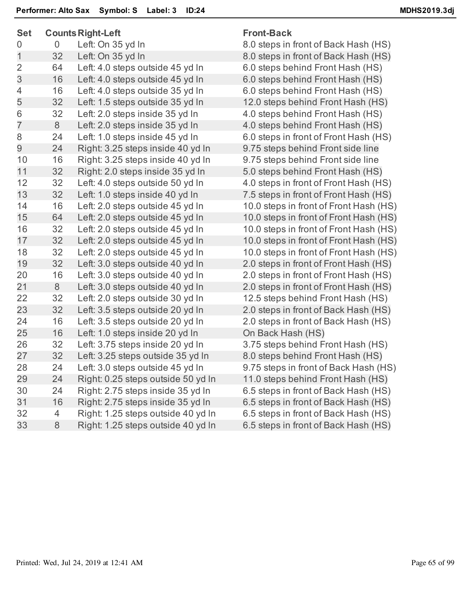| <b>Set</b>     |                | <b>Counts Right-Left</b>           | <b>Front-Back</b>                      |
|----------------|----------------|------------------------------------|----------------------------------------|
| 0              | $\overline{0}$ | Left: On 35 yd In                  | 8.0 steps in front of Back Hash (HS)   |
| $\mathbf 1$    | 32             | Left: On 35 yd In                  | 8.0 steps in front of Back Hash (HS)   |
| $\overline{2}$ | 64             | Left: 4.0 steps outside 45 yd In   | 6.0 steps behind Front Hash (HS)       |
| 3              | 16             | Left: 4.0 steps outside 45 yd In   | 6.0 steps behind Front Hash (HS)       |
| $\overline{4}$ | 16             | Left: 4.0 steps outside 35 yd In   | 6.0 steps behind Front Hash (HS)       |
| 5              | 32             | Left: 1.5 steps outside 35 yd In   | 12.0 steps behind Front Hash (HS)      |
| 6              | 32             | Left: 2.0 steps inside 35 yd In    | 4.0 steps behind Front Hash (HS)       |
| $\overline{7}$ | 8              | Left: 2.0 steps inside 35 yd In    | 4.0 steps behind Front Hash (HS)       |
| 8              | 24             | Left: 1.0 steps inside 45 yd In    | 6.0 steps in front of Front Hash (HS)  |
| 9              | 24             | Right: 3.25 steps inside 40 yd In  | 9.75 steps behind Front side line      |
| 10             | 16             | Right: 3.25 steps inside 40 yd In  | 9.75 steps behind Front side line      |
| 11             | 32             | Right: 2.0 steps inside 35 yd In   | 5.0 steps behind Front Hash (HS)       |
| 12             | 32             | Left: 4.0 steps outside 50 yd In   | 4.0 steps in front of Front Hash (HS)  |
| 13             | 32             | Left: 1.0 steps inside 40 yd In    | 7.5 steps in front of Front Hash (HS)  |
| 14             | 16             | Left: 2.0 steps outside 45 yd In   | 10.0 steps in front of Front Hash (HS) |
| 15             | 64             | Left: 2.0 steps outside 45 yd In   | 10.0 steps in front of Front Hash (HS) |
| 16             | 32             | Left: 2.0 steps outside 45 yd In   | 10.0 steps in front of Front Hash (HS) |
| 17             | 32             | Left: 2.0 steps outside 45 yd In   | 10.0 steps in front of Front Hash (HS) |
| 18             | 32             | Left: 2.0 steps outside 45 yd In   | 10.0 steps in front of Front Hash (HS) |
| 19             | 32             | Left: 3.0 steps outside 40 yd In   | 2.0 steps in front of Front Hash (HS)  |
| 20             | 16             | Left: 3.0 steps outside 40 yd In   | 2.0 steps in front of Front Hash (HS)  |
| 21             | 8              | Left: 3.0 steps outside 40 yd In   | 2.0 steps in front of Front Hash (HS)  |
| 22             | 32             | Left: 2.0 steps outside 30 yd In   | 12.5 steps behind Front Hash (HS)      |
| 23             | 32             | Left: 3.5 steps outside 20 yd In   | 2.0 steps in front of Back Hash (HS)   |
| 24             | 16             | Left: 3.5 steps outside 20 yd In   | 2.0 steps in front of Back Hash (HS)   |
| 25             | 16             | Left: 1.0 steps inside 20 yd In    | On Back Hash (HS)                      |
| 26             | 32             | Left: 3.75 steps inside 20 yd In   | 3.75 steps behind Front Hash (HS)      |
| 27             | 32             | Left: 3.25 steps outside 35 yd In  | 8.0 steps behind Front Hash (HS)       |
| 28             | 24             | Left: 3.0 steps outside 45 yd In   | 9.75 steps in front of Back Hash (HS)  |
| 29             | 24             | Right: 0.25 steps outside 50 yd In | 11.0 steps behind Front Hash (HS)      |
| 30             | 24             | Right: 2.75 steps inside 35 yd In  | 6.5 steps in front of Back Hash (HS)   |
| 31             | 16             | Right: 2.75 steps inside 35 yd In  | 6.5 steps in front of Back Hash (HS)   |
| 32             | $\overline{4}$ | Right: 1.25 steps outside 40 yd In | 6.5 steps in front of Back Hash (HS)   |
| 33             | $8\phantom{1}$ | Right: 1.25 steps outside 40 yd In | 6.5 steps in front of Back Hash (HS)   |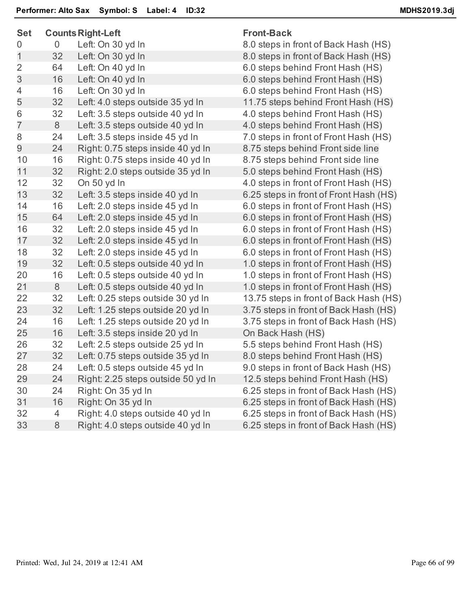| <b>Set</b>     |    | <b>Counts Right-Left</b>           | <b>Front-Back</b>                      |
|----------------|----|------------------------------------|----------------------------------------|
| 0              | 0  | Left: On 30 yd In                  | 8.0 steps in front of Back Hash (HS)   |
| 1              | 32 | Left: On 30 yd In                  | 8.0 steps in front of Back Hash (HS)   |
| $\overline{2}$ | 64 | Left: On 40 yd In                  | 6.0 steps behind Front Hash (HS)       |
| 3              | 16 | Left: On 40 yd In                  | 6.0 steps behind Front Hash (HS)       |
| 4              | 16 | Left: On 30 yd In                  | 6.0 steps behind Front Hash (HS)       |
| 5              | 32 | Left: 4.0 steps outside 35 yd In   | 11.75 steps behind Front Hash (HS)     |
| 6              | 32 | Left: 3.5 steps outside 40 yd In   | 4.0 steps behind Front Hash (HS)       |
| $\overline{7}$ | 8  | Left: 3.5 steps outside 40 yd In   | 4.0 steps behind Front Hash (HS)       |
| 8              | 24 | Left: 3.5 steps inside 45 yd In    | 7.0 steps in front of Front Hash (HS)  |
| 9              | 24 | Right: 0.75 steps inside 40 yd In  | 8.75 steps behind Front side line      |
| 10             | 16 | Right: 0.75 steps inside 40 yd In  | 8.75 steps behind Front side line      |
| 11             | 32 | Right: 2.0 steps outside 35 yd In  | 5.0 steps behind Front Hash (HS)       |
| 12             | 32 | On 50 yd In                        | 4.0 steps in front of Front Hash (HS)  |
| 13             | 32 | Left: 3.5 steps inside 40 yd In    | 6.25 steps in front of Front Hash (HS) |
| 14             | 16 | Left: 2.0 steps inside 45 yd In    | 6.0 steps in front of Front Hash (HS)  |
| 15             | 64 | Left: 2.0 steps inside 45 yd In    | 6.0 steps in front of Front Hash (HS)  |
| 16             | 32 | Left: 2.0 steps inside 45 yd In    | 6.0 steps in front of Front Hash (HS)  |
| 17             | 32 | Left: 2.0 steps inside 45 yd In    | 6.0 steps in front of Front Hash (HS)  |
| 18             | 32 | Left: 2.0 steps inside 45 yd In    | 6.0 steps in front of Front Hash (HS)  |
| 19             | 32 | Left: 0.5 steps outside 40 yd In   | 1.0 steps in front of Front Hash (HS)  |
| 20             | 16 | Left: 0.5 steps outside 40 yd In   | 1.0 steps in front of Front Hash (HS)  |
| 21             | 8  | Left: 0.5 steps outside 40 yd In   | 1.0 steps in front of Front Hash (HS)  |
| 22             | 32 | Left: 0.25 steps outside 30 yd In  | 13.75 steps in front of Back Hash (HS) |
| 23             | 32 | Left: 1.25 steps outside 20 yd In  | 3.75 steps in front of Back Hash (HS)  |
| 24             | 16 | Left: 1.25 steps outside 20 yd In  | 3.75 steps in front of Back Hash (HS)  |
| 25             | 16 | Left: 3.5 steps inside 20 yd In    | On Back Hash (HS)                      |
| 26             | 32 | Left: 2.5 steps outside 25 yd In   | 5.5 steps behind Front Hash (HS)       |
| 27             | 32 | Left: 0.75 steps outside 35 yd In  | 8.0 steps behind Front Hash (HS)       |
| 28             | 24 | Left: 0.5 steps outside 45 yd In   | 9.0 steps in front of Back Hash (HS)   |
| 29             | 24 | Right: 2.25 steps outside 50 yd In | 12.5 steps behind Front Hash (HS)      |
| 30             | 24 | Right: On 35 yd In                 | 6.25 steps in front of Back Hash (HS)  |
| 31             | 16 | Right: On 35 yd In                 | 6.25 steps in front of Back Hash (HS)  |
| 32             | 4  | Right: 4.0 steps outside 40 yd In  | 6.25 steps in front of Back Hash (HS)  |
| 33             | 8  | Right: 4.0 steps outside 40 yd In  | 6.25 steps in front of Back Hash (HS)  |
|                |    |                                    |                                        |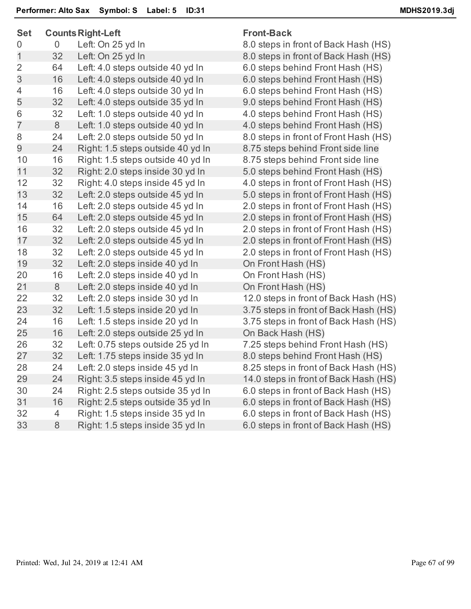| <b>Set</b>     |                | <b>Counts Right-Left</b>          | <b>Front-Back</b>                     |
|----------------|----------------|-----------------------------------|---------------------------------------|
| 0              | $\overline{0}$ | Left: On 25 yd In                 | 8.0 steps in front of Back Hash (HS)  |
| 1              | 32             | Left: On 25 yd In                 | 8.0 steps in front of Back Hash (HS)  |
| $\overline{2}$ | 64             | Left: 4.0 steps outside 40 yd In  | 6.0 steps behind Front Hash (HS)      |
| 3              | 16             | Left: 4.0 steps outside 40 yd In  | 6.0 steps behind Front Hash (HS)      |
| 4              | 16             | Left: 4.0 steps outside 30 yd In  | 6.0 steps behind Front Hash (HS)      |
| 5              | 32             | Left: 4.0 steps outside 35 yd In  | 9.0 steps behind Front Hash (HS)      |
| 6              | 32             | Left: 1.0 steps outside 40 yd In  | 4.0 steps behind Front Hash (HS)      |
| $\overline{7}$ | 8              | Left: 1.0 steps outside 40 yd In  | 4.0 steps behind Front Hash (HS)      |
| 8              | 24             | Left: 2.0 steps outside 50 yd In  | 8.0 steps in front of Front Hash (HS) |
| 9              | 24             | Right: 1.5 steps outside 40 yd In | 8.75 steps behind Front side line     |
| 10             | 16             | Right: 1.5 steps outside 40 yd In | 8.75 steps behind Front side line     |
| 11             | 32             | Right: 2.0 steps inside 30 yd In  | 5.0 steps behind Front Hash (HS)      |
| 12             | 32             | Right: 4.0 steps inside 45 yd In  | 4.0 steps in front of Front Hash (HS) |
| 13             | 32             | Left: 2.0 steps outside 45 yd In  | 5.0 steps in front of Front Hash (HS) |
| 14             | 16             | Left: 2.0 steps outside 45 yd In  | 2.0 steps in front of Front Hash (HS) |
| 15             | 64             | Left: 2.0 steps outside 45 yd In  | 2.0 steps in front of Front Hash (HS) |
| 16             | 32             | Left: 2.0 steps outside 45 yd In  | 2.0 steps in front of Front Hash (HS) |
| 17             | 32             | Left: 2.0 steps outside 45 yd In  | 2.0 steps in front of Front Hash (HS) |
| 18             | 32             | Left: 2.0 steps outside 45 yd In  | 2.0 steps in front of Front Hash (HS) |
| 19             | 32             | Left: 2.0 steps inside 40 yd In   | On Front Hash (HS)                    |
| 20             | 16             | Left: 2.0 steps inside 40 yd In   | On Front Hash (HS)                    |
| 21             | 8              | Left: 2.0 steps inside 40 yd In   | On Front Hash (HS)                    |
| 22             | 32             | Left: 2.0 steps inside 30 yd In   | 12.0 steps in front of Back Hash (HS) |
| 23             | 32             | Left: 1.5 steps inside 20 yd In   | 3.75 steps in front of Back Hash (HS) |
| 24             | 16             | Left: 1.5 steps inside 20 yd In   | 3.75 steps in front of Back Hash (HS) |
| 25             | 16             | Left: 2.0 steps outside 25 yd In  | On Back Hash (HS)                     |
| 26             | 32             | Left: 0.75 steps outside 25 yd In | 7.25 steps behind Front Hash (HS)     |
| 27             | 32             | Left: 1.75 steps inside 35 yd In  | 8.0 steps behind Front Hash (HS)      |
| 28             | 24             | Left: 2.0 steps inside 45 yd In   | 8.25 steps in front of Back Hash (HS) |
| 29             | 24             | Right: 3.5 steps inside 45 yd In  | 14.0 steps in front of Back Hash (HS) |
| 30             | 24             | Right: 2.5 steps outside 35 yd In | 6.0 steps in front of Back Hash (HS)  |
| 31             | 16             | Right: 2.5 steps outside 35 yd In | 6.0 steps in front of Back Hash (HS)  |
| 32             | 4              | Right: 1.5 steps inside 35 yd In  | 6.0 steps in front of Back Hash (HS)  |
| 33             | 8              | Right: 1.5 steps inside 35 yd In  | 6.0 steps in front of Back Hash (HS)  |
|                |                |                                   |                                       |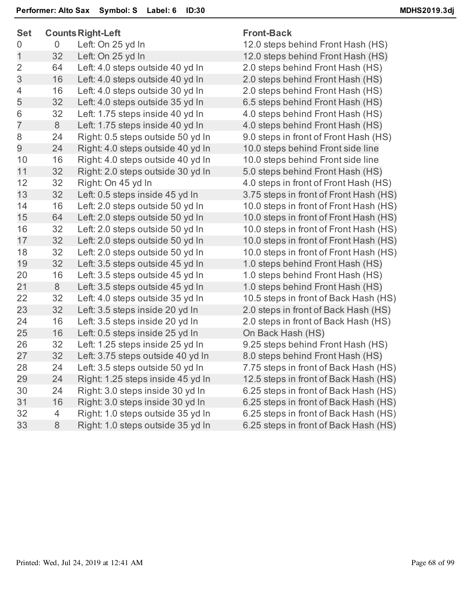| <b>Set</b>     | <b>Counts Right-Left</b> |                                   | <b>Front-Back</b>                      |
|----------------|--------------------------|-----------------------------------|----------------------------------------|
| 0              | 0                        | Left: On 25 yd In                 | 12.0 steps behind Front Hash (HS)      |
| $\mathbf 1$    | 32                       | Left: On 25 yd In                 | 12.0 steps behind Front Hash (HS)      |
| $\overline{2}$ | 64                       | Left: 4.0 steps outside 40 yd In  | 2.0 steps behind Front Hash (HS)       |
| 3              | 16                       | Left: 4.0 steps outside 40 yd In  | 2.0 steps behind Front Hash (HS)       |
| $\overline{4}$ | 16                       | Left: 4.0 steps outside 30 yd In  | 2.0 steps behind Front Hash (HS)       |
| 5              | 32                       | Left: 4.0 steps outside 35 yd In  | 6.5 steps behind Front Hash (HS)       |
| 6              | 32                       | Left: 1.75 steps inside 40 yd In  | 4.0 steps behind Front Hash (HS)       |
| $\overline{7}$ | 8                        | Left: 1.75 steps inside 40 yd In  | 4.0 steps behind Front Hash (HS)       |
| 8              | 24                       | Right: 0.5 steps outside 50 yd In | 9.0 steps in front of Front Hash (HS)  |
| 9              | 24                       | Right: 4.0 steps outside 40 yd In | 10.0 steps behind Front side line      |
| 10             | 16                       | Right: 4.0 steps outside 40 yd In | 10.0 steps behind Front side line      |
| 11             | 32                       | Right: 2.0 steps outside 30 yd In | 5.0 steps behind Front Hash (HS)       |
| 12             | 32                       | Right: On 45 yd In                | 4.0 steps in front of Front Hash (HS)  |
| 13             | 32                       | Left: 0.5 steps inside 45 yd In   | 3.75 steps in front of Front Hash (HS) |
| 14             | 16                       | Left: 2.0 steps outside 50 yd In  | 10.0 steps in front of Front Hash (HS) |
| 15             | 64                       | Left: 2.0 steps outside 50 yd In  | 10.0 steps in front of Front Hash (HS) |
| 16             | 32                       | Left: 2.0 steps outside 50 yd In  | 10.0 steps in front of Front Hash (HS) |
| 17             | 32                       | Left: 2.0 steps outside 50 yd In  | 10.0 steps in front of Front Hash (HS) |
| 18             | 32                       | Left: 2.0 steps outside 50 yd In  | 10.0 steps in front of Front Hash (HS) |
| 19             | 32                       | Left: 3.5 steps outside 45 yd In  | 1.0 steps behind Front Hash (HS)       |
| 20             | 16                       | Left: 3.5 steps outside 45 yd In  | 1.0 steps behind Front Hash (HS)       |
| 21             | 8                        | Left: 3.5 steps outside 45 yd In  | 1.0 steps behind Front Hash (HS)       |
| 22             | 32                       | Left: 4.0 steps outside 35 yd In  | 10.5 steps in front of Back Hash (HS)  |
| 23             | 32                       | Left: 3.5 steps inside 20 yd In   | 2.0 steps in front of Back Hash (HS)   |
| 24             | 16                       | Left: 3.5 steps inside 20 yd In   | 2.0 steps in front of Back Hash (HS)   |
| 25             | 16                       | Left: 0.5 steps inside 25 yd In   | On Back Hash (HS)                      |
| 26             | 32                       | Left: 1.25 steps inside 25 yd In  | 9.25 steps behind Front Hash (HS)      |
| 27             | 32                       | Left: 3.75 steps outside 40 yd In | 8.0 steps behind Front Hash (HS)       |
| 28             | 24                       | Left: 3.5 steps outside 50 yd In  | 7.75 steps in front of Back Hash (HS)  |
| 29             | 24                       | Right: 1.25 steps inside 45 yd In | 12.5 steps in front of Back Hash (HS)  |
| 30             | 24                       | Right: 3.0 steps inside 30 yd In  | 6.25 steps in front of Back Hash (HS)  |
| 31             | 16                       | Right: 3.0 steps inside 30 yd In  | 6.25 steps in front of Back Hash (HS)  |
| 32             | 4                        | Right: 1.0 steps outside 35 yd In | 6.25 steps in front of Back Hash (HS)  |
| 33             | 8                        | Right: 1.0 steps outside 35 yd In | 6.25 steps in front of Back Hash (HS)  |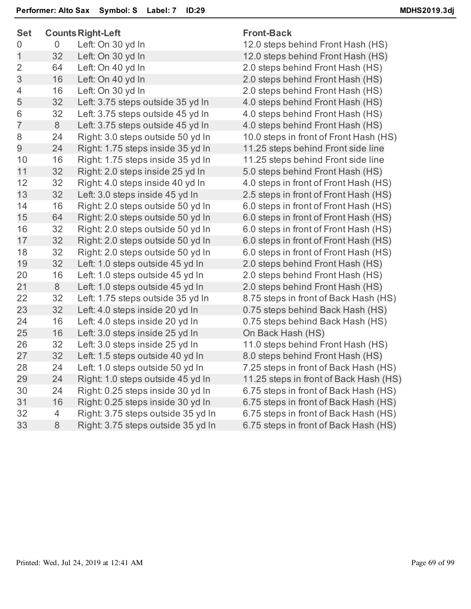| <b>Set</b>     |    | <b>Counts Right-Left</b>           | <b>Front-Back</b>                      |
|----------------|----|------------------------------------|----------------------------------------|
| 0              | 0  | Left: On 30 yd In                  | 12.0 steps behind Front Hash (HS)      |
| 1              | 32 | Left: On 30 yd In                  | 12.0 steps behind Front Hash (HS)      |
| $\overline{2}$ | 64 | Left: On 40 yd In                  | 2.0 steps behind Front Hash (HS)       |
| 3              | 16 | Left: On 40 yd In                  | 2.0 steps behind Front Hash (HS)       |
| 4              | 16 | Left: On 30 yd In                  | 2.0 steps behind Front Hash (HS)       |
| 5              | 32 | Left: 3.75 steps outside 35 yd In  | 4.0 steps behind Front Hash (HS)       |
| 6              | 32 | Left: 3.75 steps outside 45 yd In  | 4.0 steps behind Front Hash (HS)       |
| $\overline{7}$ | 8  | Left: 3.75 steps outside 45 yd In  | 4.0 steps behind Front Hash (HS)       |
| 8              | 24 | Right: 3.0 steps outside 50 yd In  | 10.0 steps in front of Front Hash (HS) |
| 9              | 24 | Right: 1.75 steps inside 35 yd In  | 11.25 steps behind Front side line     |
| 10             | 16 | Right: 1.75 steps inside 35 yd In  | 11.25 steps behind Front side line     |
| 11             | 32 | Right: 2.0 steps inside 25 yd In   | 5.0 steps behind Front Hash (HS)       |
| 12             | 32 | Right: 4.0 steps inside 40 yd In   | 4.0 steps in front of Front Hash (HS)  |
| 13             | 32 | Left: 3.0 steps inside 45 yd In    | 2.5 steps in front of Front Hash (HS)  |
| 14             | 16 | Right: 2.0 steps outside 50 yd In  | 6.0 steps in front of Front Hash (HS)  |
| 15             | 64 | Right: 2.0 steps outside 50 yd In  | 6.0 steps in front of Front Hash (HS)  |
| 16             | 32 | Right: 2.0 steps outside 50 yd In  | 6.0 steps in front of Front Hash (HS)  |
| 17             | 32 | Right: 2.0 steps outside 50 yd In  | 6.0 steps in front of Front Hash (HS)  |
| 18             | 32 | Right: 2.0 steps outside 50 yd In  | 6.0 steps in front of Front Hash (HS)  |
| 19             | 32 | Left: 1.0 steps outside 45 yd In   | 2.0 steps behind Front Hash (HS)       |
| 20             | 16 | Left: 1.0 steps outside 45 yd In   | 2.0 steps behind Front Hash (HS)       |
| 21             | 8  | Left: 1.0 steps outside 45 yd In   | 2.0 steps behind Front Hash (HS)       |
| 22             | 32 | Left: 1.75 steps outside 35 yd In  | 8.75 steps in front of Back Hash (HS)  |
| 23             | 32 | Left: 4.0 steps inside 20 yd In    | 0.75 steps behind Back Hash (HS)       |
| 24             | 16 | Left: 4.0 steps inside 20 yd In    | 0.75 steps behind Back Hash (HS)       |
| 25             | 16 | Left: 3.0 steps inside 25 yd In    | On Back Hash (HS)                      |
| 26             | 32 | Left: 3.0 steps inside 25 yd In    | 11.0 steps behind Front Hash (HS)      |
| 27             | 32 | Left: 1.5 steps outside 40 yd In   | 8.0 steps behind Front Hash (HS)       |
| 28             | 24 | Left: 1.0 steps outside 50 yd In   | 7.25 steps in front of Back Hash (HS)  |
| 29             | 24 | Right: 1.0 steps outside 45 yd In  | 11.25 steps in front of Back Hash (HS) |
| 30             | 24 | Right: 0.25 steps inside 30 yd In  | 6.75 steps in front of Back Hash (HS)  |
| 31             | 16 | Right: 0.25 steps inside 30 yd In  | 6.75 steps in front of Back Hash (HS)  |
| 32             | 4  | Right: 3.75 steps outside 35 yd In | 6.75 steps in front of Back Hash (HS)  |
| 33             | 8  | Right: 3.75 steps outside 35 yd In | 6.75 steps in front of Back Hash (HS)  |
|                |    |                                    |                                        |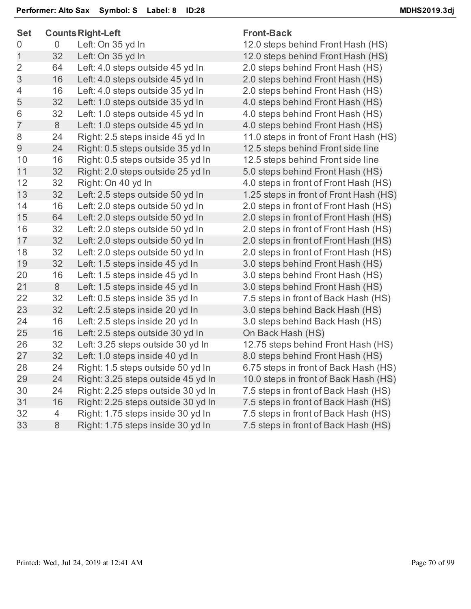| <b>Set</b>     |                | <b>Counts Right-Left</b>           | <b>Front-Back</b>                      |
|----------------|----------------|------------------------------------|----------------------------------------|
| 0              | $\mathbf 0$    | Left: On 35 yd In                  | 12.0 steps behind Front Hash (HS)      |
| $\mathbf{1}$   | 32             | Left: On 35 yd In                  | 12.0 steps behind Front Hash (HS)      |
| $\overline{2}$ | 64             | Left: 4.0 steps outside 45 yd In   | 2.0 steps behind Front Hash (HS)       |
| 3              | 16             | Left: 4.0 steps outside 45 yd In   | 2.0 steps behind Front Hash (HS)       |
| 4              | 16             | Left: 4.0 steps outside 35 yd In   | 2.0 steps behind Front Hash (HS)       |
| 5              | 32             | Left: 1.0 steps outside 35 yd In   | 4.0 steps behind Front Hash (HS)       |
| 6              | 32             | Left: 1.0 steps outside 45 yd In   | 4.0 steps behind Front Hash (HS)       |
| $\overline{7}$ | 8              | Left: 1.0 steps outside 45 yd In   | 4.0 steps behind Front Hash (HS)       |
| 8              | 24             | Right: 2.5 steps inside 45 yd In   | 11.0 steps in front of Front Hash (HS) |
| $\overline{9}$ | 24             | Right: 0.5 steps outside 35 yd In  | 12.5 steps behind Front side line      |
| 10             | 16             | Right: 0.5 steps outside 35 yd In  | 12.5 steps behind Front side line      |
| 11             | 32             | Right: 2.0 steps outside 25 yd In  | 5.0 steps behind Front Hash (HS)       |
| 12             | 32             | Right: On 40 yd In                 | 4.0 steps in front of Front Hash (HS)  |
| 13             | 32             | Left: 2.5 steps outside 50 yd In   | 1.25 steps in front of Front Hash (HS) |
| 14             | 16             | Left: 2.0 steps outside 50 yd In   | 2.0 steps in front of Front Hash (HS)  |
| 15             | 64             | Left: 2.0 steps outside 50 yd In   | 2.0 steps in front of Front Hash (HS)  |
| 16             | 32             | Left: 2.0 steps outside 50 yd In   | 2.0 steps in front of Front Hash (HS)  |
| 17             | 32             | Left: 2.0 steps outside 50 yd In   | 2.0 steps in front of Front Hash (HS)  |
| 18             | 32             | Left: 2.0 steps outside 50 yd In   | 2.0 steps in front of Front Hash (HS)  |
| 19             | 32             | Left: 1.5 steps inside 45 yd In    | 3.0 steps behind Front Hash (HS)       |
| 20             | 16             | Left: 1.5 steps inside 45 yd In    | 3.0 steps behind Front Hash (HS)       |
| 21             | 8              | Left: 1.5 steps inside 45 yd In    | 3.0 steps behind Front Hash (HS)       |
| 22             | 32             | Left: 0.5 steps inside 35 yd In    | 7.5 steps in front of Back Hash (HS)   |
| 23             | 32             | Left: 2.5 steps inside 20 yd In    | 3.0 steps behind Back Hash (HS)        |
| 24             | 16             | Left: 2.5 steps inside 20 yd In    | 3.0 steps behind Back Hash (HS)        |
| 25             | 16             | Left: 2.5 steps outside 30 yd In   | On Back Hash (HS)                      |
| 26             | 32             | Left: 3.25 steps outside 30 yd In  | 12.75 steps behind Front Hash (HS)     |
| 27             | 32             | Left: 1.0 steps inside 40 yd In    | 8.0 steps behind Front Hash (HS)       |
| 28             | 24             | Right: 1.5 steps outside 50 yd In  | 6.75 steps in front of Back Hash (HS)  |
| 29             | 24             | Right: 3.25 steps outside 45 yd In | 10.0 steps in front of Back Hash (HS)  |
| 30             | 24             | Right: 2.25 steps outside 30 yd In | 7.5 steps in front of Back Hash (HS)   |
| 31             | 16             | Right: 2.25 steps outside 30 yd In | 7.5 steps in front of Back Hash (HS)   |
| 32             | $\overline{4}$ | Right: 1.75 steps inside 30 yd In  | 7.5 steps in front of Back Hash (HS)   |
| 33             | 8              | Right: 1.75 steps inside 30 yd In  | 7.5 steps in front of Back Hash (HS)   |
|                |                |                                    |                                        |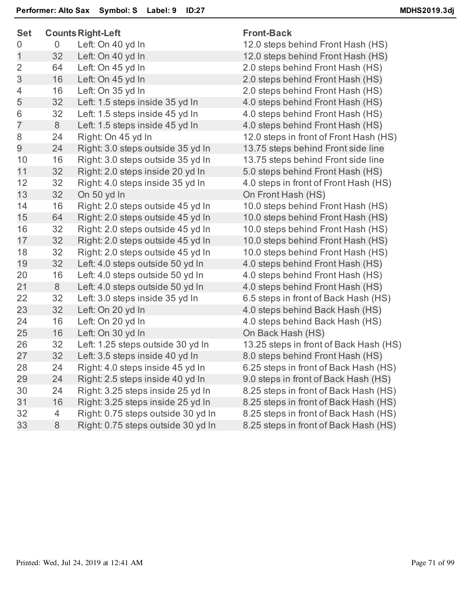| <b>Set</b>     |                | <b>Counts Right-Left</b>           | <b>Front-Back</b>                      |
|----------------|----------------|------------------------------------|----------------------------------------|
| 0              | $\overline{0}$ | Left: On 40 yd In                  | 12.0 steps behind Front Hash (HS)      |
| 1              | 32             | Left: On 40 yd In                  | 12.0 steps behind Front Hash (HS)      |
| 2              | 64             | Left: On 45 yd In                  | 2.0 steps behind Front Hash (HS)       |
| 3              | 16             | Left: On 45 yd In                  | 2.0 steps behind Front Hash (HS)       |
| 4              | 16             | Left: On 35 yd In                  | 2.0 steps behind Front Hash (HS)       |
| 5              | 32             | Left: 1.5 steps inside 35 yd In    | 4.0 steps behind Front Hash (HS)       |
| 6              | 32             | Left: 1.5 steps inside 45 yd In    | 4.0 steps behind Front Hash (HS)       |
| $\overline{7}$ | 8              | Left: 1.5 steps inside 45 yd In    | 4.0 steps behind Front Hash (HS)       |
| 8              | 24             | Right: On 45 yd In                 | 12.0 steps in front of Front Hash (HS) |
| $\overline{9}$ | 24             | Right: 3.0 steps outside 35 yd In  | 13.75 steps behind Front side line     |
| 10             | 16             | Right: 3.0 steps outside 35 yd In  | 13.75 steps behind Front side line     |
| 11             | 32             | Right: 2.0 steps inside 20 yd In   | 5.0 steps behind Front Hash (HS)       |
| 12             | 32             | Right: 4.0 steps inside 35 yd In   | 4.0 steps in front of Front Hash (HS)  |
| 13             | 32             | On 50 yd In                        | On Front Hash (HS)                     |
| 14             | 16             | Right: 2.0 steps outside 45 yd In  | 10.0 steps behind Front Hash (HS)      |
| 15             | 64             | Right: 2.0 steps outside 45 yd In  | 10.0 steps behind Front Hash (HS)      |
| 16             | 32             | Right: 2.0 steps outside 45 yd In  | 10.0 steps behind Front Hash (HS)      |
| 17             | 32             | Right: 2.0 steps outside 45 yd In  | 10.0 steps behind Front Hash (HS)      |
| 18             | 32             | Right: 2.0 steps outside 45 yd In  | 10.0 steps behind Front Hash (HS)      |
| 19             | 32             | Left: 4.0 steps outside 50 yd In   | 4.0 steps behind Front Hash (HS)       |
| 20             | 16             | Left: 4.0 steps outside 50 yd In   | 4.0 steps behind Front Hash (HS)       |
| 21             | 8              | Left: 4.0 steps outside 50 yd In   | 4.0 steps behind Front Hash (HS)       |
| 22             | 32             | Left: 3.0 steps inside 35 yd In    | 6.5 steps in front of Back Hash (HS)   |
| 23             | 32             | Left: On 20 yd In                  | 4.0 steps behind Back Hash (HS)        |
| 24             | 16             | Left: On 20 yd In                  | 4.0 steps behind Back Hash (HS)        |
| 25             | 16             | Left: On 30 yd In                  | On Back Hash (HS)                      |
| 26             | 32             | Left: 1.25 steps outside 30 yd In  | 13.25 steps in front of Back Hash (HS) |
| 27             | 32             | Left: 3.5 steps inside 40 yd In    | 8.0 steps behind Front Hash (HS)       |
| 28             | 24             | Right: 4.0 steps inside 45 yd In   | 6.25 steps in front of Back Hash (HS)  |
| 29             | 24             | Right: 2.5 steps inside 40 yd In   | 9.0 steps in front of Back Hash (HS)   |
| 30             | 24             | Right: 3.25 steps inside 25 yd In  | 8.25 steps in front of Back Hash (HS)  |
| 31             | 16             | Right: 3.25 steps inside 25 yd In  | 8.25 steps in front of Back Hash (HS)  |
| 32             | 4              | Right: 0.75 steps outside 30 yd In | 8.25 steps in front of Back Hash (HS)  |
| 33             | 8              | Right: 0.75 steps outside 30 yd In | 8.25 steps in front of Back Hash (HS)  |
|                |                |                                    |                                        |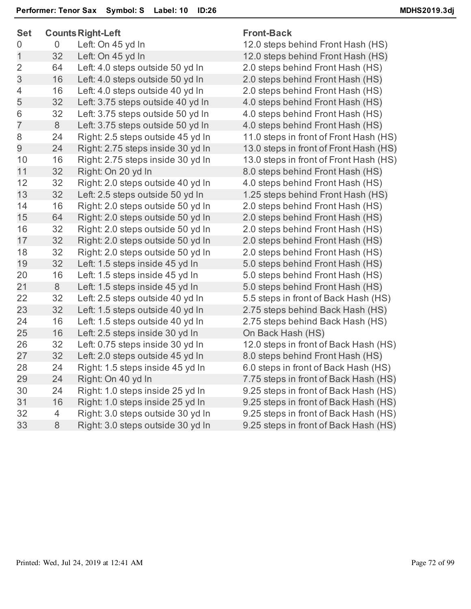| ວບເ            |    | Counts Right-Left                 | <b>Front-Dack</b>                    |
|----------------|----|-----------------------------------|--------------------------------------|
| 0              | 0  | Left: On 45 yd In                 | 12.0 steps behind Front Hash (HS)    |
| $\mathbf 1$    | 32 | Left: On 45 yd In                 | 12.0 steps behind Front Hash (HS)    |
| $\overline{2}$ | 64 | Left: 4.0 steps outside 50 yd In  | 2.0 steps behind Front Hash (HS)     |
| 3              | 16 | Left: 4.0 steps outside 50 yd In  | 2.0 steps behind Front Hash (HS)     |
| 4              | 16 | Left: 4.0 steps outside 40 yd In  | 2.0 steps behind Front Hash (HS)     |
| 5              | 32 | Left: 3.75 steps outside 40 yd In | 4.0 steps behind Front Hash (HS)     |
| 6              | 32 | Left: 3.75 steps outside 50 yd In | 4.0 steps behind Front Hash (HS)     |
| $\overline{7}$ | 8  | Left: 3.75 steps outside 50 yd In | 4.0 steps behind Front Hash (HS)     |
| 8              | 24 | Right: 2.5 steps outside 45 yd In | 11.0 steps in front of Front Hash (H |
| 9              | 24 | Right: 2.75 steps inside 30 yd In | 13.0 steps in front of Front Hash (H |
| 10             | 16 | Right: 2.75 steps inside 30 yd In | 13.0 steps in front of Front Hash (H |
| 11             | 32 | Right: On 20 yd In                | 8.0 steps behind Front Hash (HS)     |
| 12             | 32 | Right: 2.0 steps outside 40 yd In | 4.0 steps behind Front Hash (HS)     |
| 13             | 32 | Left: 2.5 steps outside 50 yd In  | 1.25 steps behind Front Hash (HS)    |
| 14             | 16 | Right: 2.0 steps outside 50 yd In | 2.0 steps behind Front Hash (HS)     |
| 15             | 64 | Right: 2.0 steps outside 50 yd In | 2.0 steps behind Front Hash (HS)     |
| 16             | 32 | Right: 2.0 steps outside 50 yd In | 2.0 steps behind Front Hash (HS)     |
| 17             | 32 | Right: 2.0 steps outside 50 yd In | 2.0 steps behind Front Hash (HS)     |
| 18             | 32 | Right: 2.0 steps outside 50 yd In | 2.0 steps behind Front Hash (HS)     |
| 19             | 32 | Left: 1.5 steps inside 45 yd In   | 5.0 steps behind Front Hash (HS)     |
| 20             | 16 | Left: 1.5 steps inside 45 yd In   | 5.0 steps behind Front Hash (HS)     |
| 21             | 8  | Left: 1.5 steps inside 45 yd In   | 5.0 steps behind Front Hash (HS)     |
| 22             | 32 | Left: 2.5 steps outside 40 yd In  | 5.5 steps in front of Back Hash (HS  |
| 23             | 32 | Left: 1.5 steps outside 40 yd In  | 2.75 steps behind Back Hash (HS)     |
| 24             | 16 | Left: 1.5 steps outside 40 yd In  | 2.75 steps behind Back Hash (HS)     |
| 25             | 16 | Left: 2.5 steps inside 30 yd In   | On Back Hash (HS)                    |
| 26             | 32 | Left: 0.75 steps inside 30 yd In  | 12.0 steps in front of Back Hash (H) |
| 27             | 32 | Left: 2.0 steps outside 45 yd In  | 8.0 steps behind Front Hash (HS)     |
| 28             | 24 | Right: 1.5 steps inside 45 yd In  | 6.0 steps in front of Back Hash (HS  |
| 29             | 24 | Right: On 40 yd In                | 7.75 steps in front of Back Hash (H) |
| 30             | 24 | Right: 1.0 steps inside 25 yd In  | 9.25 steps in front of Back Hash (H) |
| 31             | 16 | Right: 1.0 steps inside 25 yd In  | 9.25 steps in front of Back Hash (H) |
| 32             | 4  | Right: 3.0 steps outside 30 yd In | 9.25 steps in front of Back Hash (H) |
| 33             | 8  | Right: 3.0 steps outside 30 yd In | 9.25 steps in front of Back Hash (H) |
|                |    |                                   |                                      |

## **Set CountsRight-Left Front-Back**

it Hash (HS) Hash (HS) Hash (HS) Hash (HS) Hash (HS) Hash (HS) Hash (HS) ont Hash (HS) ont Hash (HS) ont Hash (HS) Hash (HS) Hash (HS) It Hash (HS) Hash (HS) Hash (HS) Hash (HS) Hash (HS) Hash (HS) Hash (HS) Hash (HS) Hash (HS) ck Hash (HS) k Hash (HS) k Hash (HS) ack Hash (HS) Hash (HS) ck Hash (HS) ack Hash (HS) ack Hash (HS) ack Hash (HS) ack Hash (HS) ack Hash (HS)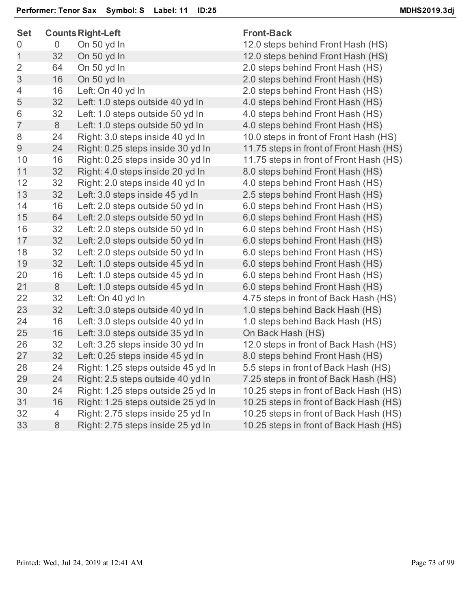| <b>Set</b>     | <b>Counts Right-Left</b> |                                    | <b>Front-Back</b>                       |  |
|----------------|--------------------------|------------------------------------|-----------------------------------------|--|
| 0              | 0                        | On 50 yd In                        | 12.0 steps behind Front Hash (HS)       |  |
| 1              | 32                       | On 50 yd In                        | 12.0 steps behind Front Hash (HS)       |  |
| $\overline{2}$ | 64                       | On 50 yd In                        | 2.0 steps behind Front Hash (HS)        |  |
| 3              | 16                       | On 50 yd In                        | 2.0 steps behind Front Hash (HS)        |  |
| 4              | 16                       | Left: On 40 yd In                  | 2.0 steps behind Front Hash (HS)        |  |
| 5              | 32                       | Left: 1.0 steps outside 40 yd In   | 4.0 steps behind Front Hash (HS)        |  |
| 6              | 32                       | Left: 1.0 steps outside 50 yd In   | 4.0 steps behind Front Hash (HS)        |  |
| $\overline{7}$ | 8                        | Left: 1.0 steps outside 50 yd In   | 4.0 steps behind Front Hash (HS)        |  |
| 8              | 24                       | Right: 3.0 steps inside 40 yd In   | 10.0 steps in front of Front Hash (HS)  |  |
| 9              | 24                       | Right: 0.25 steps inside 30 yd In  | 11.75 steps in front of Front Hash (HS) |  |
| 10             | 16                       | Right: 0.25 steps inside 30 yd In  | 11.75 steps in front of Front Hash (HS) |  |
| 11             | 32                       | Right: 4.0 steps inside 20 yd In   | 8.0 steps behind Front Hash (HS)        |  |
| 12             | 32                       | Right: 2.0 steps inside 40 yd In   | 4.0 steps behind Front Hash (HS)        |  |
| 13             | 32                       | Left: 3.0 steps inside 45 yd In    | 2.5 steps behind Front Hash (HS)        |  |
| 14             | 16                       | Left: 2.0 steps outside 50 yd In   | 6.0 steps behind Front Hash (HS)        |  |
| 15             | 64                       | Left: 2.0 steps outside 50 yd In   | 6.0 steps behind Front Hash (HS)        |  |
| 16             | 32                       | Left: 2.0 steps outside 50 yd In   | 6.0 steps behind Front Hash (HS)        |  |
| 17             | 32                       | Left: 2.0 steps outside 50 yd In   | 6.0 steps behind Front Hash (HS)        |  |
| 18             | 32                       | Left: 2.0 steps outside 50 yd In   | 6.0 steps behind Front Hash (HS)        |  |
| 19             | 32                       | Left: 1.0 steps outside 45 yd In   | 6.0 steps behind Front Hash (HS)        |  |
| 20             | 16                       | Left: 1.0 steps outside 45 yd In   | 6.0 steps behind Front Hash (HS)        |  |
| 21             | 8                        | Left: 1.0 steps outside 45 yd In   | 6.0 steps behind Front Hash (HS)        |  |
| 22             | 32                       | Left: On 40 yd In                  | 4.75 steps in front of Back Hash (HS)   |  |
| 23             | 32                       | Left: 3.0 steps outside 40 yd In   | 1.0 steps behind Back Hash (HS)         |  |
| 24             | 16                       | Left: 3.0 steps outside 40 yd In   | 1.0 steps behind Back Hash (HS)         |  |
| 25             | 16                       | Left: 3.0 steps outside 35 yd In   | On Back Hash (HS)                       |  |
| 26             | 32                       | Left: 3.25 steps inside 30 yd In   | 12.0 steps in front of Back Hash (HS)   |  |
| 27             | 32                       | Left: 0.25 steps inside 45 yd In   | 8.0 steps behind Front Hash (HS)        |  |
| 28             | 24                       | Right: 1.25 steps outside 45 yd In | 5.5 steps in front of Back Hash (HS)    |  |
| 29             | 24                       | Right: 2.5 steps outside 40 yd In  | 7.25 steps in front of Back Hash (HS)   |  |
| 30             | 24                       | Right: 1.25 steps outside 25 yd In | 10.25 steps in front of Back Hash (HS)  |  |
| 31             | 16                       | Right: 1.25 steps outside 25 yd In | 10.25 steps in front of Back Hash (HS)  |  |
| 32             | 4                        | Right: 2.75 steps inside 25 yd In  | 10.25 steps in front of Back Hash (HS)  |  |
| 33             | 8                        | Right: 2.75 steps inside 25 yd In  | 10.25 steps in front of Back Hash (HS)  |  |
|                |                          |                                    |                                         |  |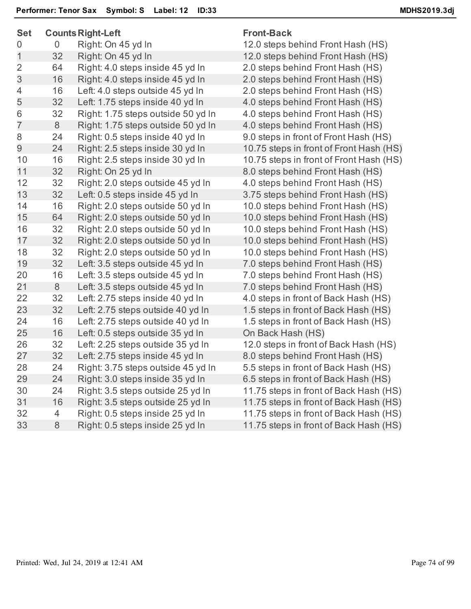|    |                                                                                          | <b>Front-Back</b>                                                                                                                                                                                                                                                                                                                                                                                                                                                                                                                                                                                                                  |
|----|------------------------------------------------------------------------------------------|------------------------------------------------------------------------------------------------------------------------------------------------------------------------------------------------------------------------------------------------------------------------------------------------------------------------------------------------------------------------------------------------------------------------------------------------------------------------------------------------------------------------------------------------------------------------------------------------------------------------------------|
| 0  | Right: On 45 yd In                                                                       | 12.0 steps behind Front Hash (HS)                                                                                                                                                                                                                                                                                                                                                                                                                                                                                                                                                                                                  |
| 32 | Right: On 45 yd In                                                                       | 12.0 steps behind Front Hash (HS)                                                                                                                                                                                                                                                                                                                                                                                                                                                                                                                                                                                                  |
| 64 | Right: 4.0 steps inside 45 yd In                                                         | 2.0 steps behind Front Hash (HS)                                                                                                                                                                                                                                                                                                                                                                                                                                                                                                                                                                                                   |
| 16 | Right: 4.0 steps inside 45 yd In                                                         | 2.0 steps behind Front Hash (HS)                                                                                                                                                                                                                                                                                                                                                                                                                                                                                                                                                                                                   |
| 16 | Left: 4.0 steps outside 45 yd In                                                         | 2.0 steps behind Front Hash (HS)                                                                                                                                                                                                                                                                                                                                                                                                                                                                                                                                                                                                   |
| 32 | Left: 1.75 steps inside 40 yd In                                                         | 4.0 steps behind Front Hash (HS)                                                                                                                                                                                                                                                                                                                                                                                                                                                                                                                                                                                                   |
| 32 | Right: 1.75 steps outside 50 yd In                                                       | 4.0 steps behind Front Hash (HS)                                                                                                                                                                                                                                                                                                                                                                                                                                                                                                                                                                                                   |
| 8  | Right: 1.75 steps outside 50 yd In                                                       | 4.0 steps behind Front Hash (HS)                                                                                                                                                                                                                                                                                                                                                                                                                                                                                                                                                                                                   |
| 24 | Right: 0.5 steps inside 40 yd In                                                         | 9.0 steps in front of Front Hash (HS)                                                                                                                                                                                                                                                                                                                                                                                                                                                                                                                                                                                              |
| 24 | Right: 2.5 steps inside 30 yd In                                                         | 10.75 steps in front of Front Hash (HS)                                                                                                                                                                                                                                                                                                                                                                                                                                                                                                                                                                                            |
| 16 | Right: 2.5 steps inside 30 yd In                                                         | 10.75 steps in front of Front Hash (HS)                                                                                                                                                                                                                                                                                                                                                                                                                                                                                                                                                                                            |
| 32 | Right: On 25 yd In                                                                       | 8.0 steps behind Front Hash (HS)                                                                                                                                                                                                                                                                                                                                                                                                                                                                                                                                                                                                   |
| 32 | Right: 2.0 steps outside 45 yd In                                                        | 4.0 steps behind Front Hash (HS)                                                                                                                                                                                                                                                                                                                                                                                                                                                                                                                                                                                                   |
| 32 | Left: 0.5 steps inside 45 yd In                                                          | 3.75 steps behind Front Hash (HS)                                                                                                                                                                                                                                                                                                                                                                                                                                                                                                                                                                                                  |
| 16 | Right: 2.0 steps outside 50 yd In                                                        | 10.0 steps behind Front Hash (HS)                                                                                                                                                                                                                                                                                                                                                                                                                                                                                                                                                                                                  |
| 64 |                                                                                          | 10.0 steps behind Front Hash (HS)                                                                                                                                                                                                                                                                                                                                                                                                                                                                                                                                                                                                  |
| 32 |                                                                                          | 10.0 steps behind Front Hash (HS)                                                                                                                                                                                                                                                                                                                                                                                                                                                                                                                                                                                                  |
|    | Right: 2.0 steps outside 50 yd In                                                        | 10.0 steps behind Front Hash (HS)                                                                                                                                                                                                                                                                                                                                                                                                                                                                                                                                                                                                  |
|    |                                                                                          | 10.0 steps behind Front Hash (HS)                                                                                                                                                                                                                                                                                                                                                                                                                                                                                                                                                                                                  |
|    |                                                                                          | 7.0 steps behind Front Hash (HS)                                                                                                                                                                                                                                                                                                                                                                                                                                                                                                                                                                                                   |
|    |                                                                                          | 7.0 steps behind Front Hash (HS)                                                                                                                                                                                                                                                                                                                                                                                                                                                                                                                                                                                                   |
|    | Left: 3.5 steps outside 45 yd In                                                         | 7.0 steps behind Front Hash (HS)                                                                                                                                                                                                                                                                                                                                                                                                                                                                                                                                                                                                   |
| 32 | Left: 2.75 steps inside 40 yd In                                                         | 4.0 steps in front of Back Hash (HS)                                                                                                                                                                                                                                                                                                                                                                                                                                                                                                                                                                                               |
|    |                                                                                          | 1.5 steps in front of Back Hash (HS)                                                                                                                                                                                                                                                                                                                                                                                                                                                                                                                                                                                               |
|    |                                                                                          | 1.5 steps in front of Back Hash (HS)                                                                                                                                                                                                                                                                                                                                                                                                                                                                                                                                                                                               |
|    |                                                                                          | On Back Hash (HS)                                                                                                                                                                                                                                                                                                                                                                                                                                                                                                                                                                                                                  |
|    |                                                                                          | 12.0 steps in front of Back Hash (HS)                                                                                                                                                                                                                                                                                                                                                                                                                                                                                                                                                                                              |
|    |                                                                                          | 8.0 steps behind Front Hash (HS)                                                                                                                                                                                                                                                                                                                                                                                                                                                                                                                                                                                                   |
|    |                                                                                          | 5.5 steps in front of Back Hash (HS)                                                                                                                                                                                                                                                                                                                                                                                                                                                                                                                                                                                               |
|    |                                                                                          | 6.5 steps in front of Back Hash (HS)                                                                                                                                                                                                                                                                                                                                                                                                                                                                                                                                                                                               |
|    |                                                                                          | 11.75 steps in front of Back Hash (HS)                                                                                                                                                                                                                                                                                                                                                                                                                                                                                                                                                                                             |
|    |                                                                                          | 11.75 steps in front of Back Hash (HS)                                                                                                                                                                                                                                                                                                                                                                                                                                                                                                                                                                                             |
| 4  |                                                                                          | 11.75 steps in front of Back Hash (HS)                                                                                                                                                                                                                                                                                                                                                                                                                                                                                                                                                                                             |
|    |                                                                                          | 11.75 steps in front of Back Hash (HS)                                                                                                                                                                                                                                                                                                                                                                                                                                                                                                                                                                                             |
|    | 32<br>32<br>32<br>16<br>8<br>32<br>16<br>16<br>32<br>32<br>24<br>24<br>24<br>16<br>$8\,$ | <b>Counts Right-Left</b><br>Right: 2.0 steps outside 50 yd In<br>Right: 2.0 steps outside 50 yd In<br>Right: 2.0 steps outside 50 yd In<br>Left: 3.5 steps outside 45 yd In<br>Left: 3.5 steps outside 45 yd In<br>Left: 2.75 steps outside 40 yd In<br>Left: 2.75 steps outside 40 yd In<br>Left: 0.5 steps outside 35 yd In<br>Left: 2.25 steps outside 35 yd In<br>Left: 2.75 steps inside 45 yd In<br>Right: 3.75 steps outside 45 yd In<br>Right: 3.0 steps inside 35 yd In<br>Right: 3.5 steps outside 25 yd In<br>Right: 3.5 steps outside 25 yd In<br>Right: 0.5 steps inside 25 yd In<br>Right: 0.5 steps inside 25 yd In |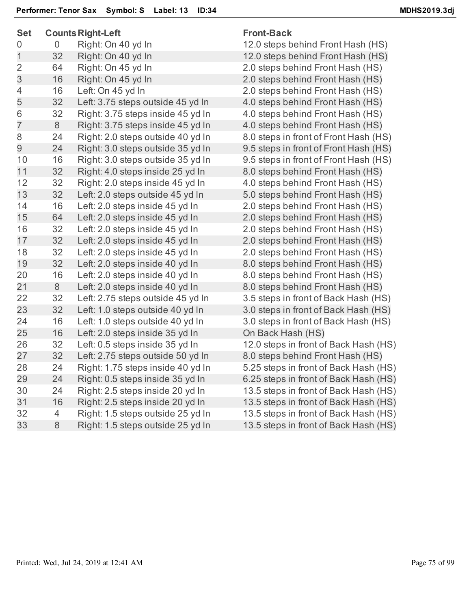| <b>Set</b>     |    | <b>Counts Right-Left</b>          | <b>Front-Back</b>                     |
|----------------|----|-----------------------------------|---------------------------------------|
| 0              | 0  | Right: On 40 yd In                | 12.0 steps behind Front Hash (HS)     |
| 1              | 32 | Right: On 40 yd In                | 12.0 steps behind Front Hash (HS)     |
| $\overline{2}$ | 64 | Right: On 45 yd In                | 2.0 steps behind Front Hash (HS)      |
| 3              | 16 | Right: On 45 yd In                | 2.0 steps behind Front Hash (HS)      |
| 4              | 16 | Left: On 45 yd In                 | 2.0 steps behind Front Hash (HS)      |
| 5              | 32 | Left: 3.75 steps outside 45 yd In | 4.0 steps behind Front Hash (HS)      |
| 6              | 32 | Right: 3.75 steps inside 45 yd In | 4.0 steps behind Front Hash (HS)      |
| $\overline{7}$ | 8  | Right: 3.75 steps inside 45 yd In | 4.0 steps behind Front Hash (HS)      |
| 8              | 24 | Right: 2.0 steps outside 40 yd In | 8.0 steps in front of Front Hash (HS) |
| 9              | 24 | Right: 3.0 steps outside 35 yd In | 9.5 steps in front of Front Hash (HS) |
| 10             | 16 | Right: 3.0 steps outside 35 yd In | 9.5 steps in front of Front Hash (HS) |
| 11             | 32 | Right: 4.0 steps inside 25 yd In  | 8.0 steps behind Front Hash (HS)      |
| 12             | 32 | Right: 2.0 steps inside 45 yd In  | 4.0 steps behind Front Hash (HS)      |
| 13             | 32 | Left: 2.0 steps outside 45 yd In  | 5.0 steps behind Front Hash (HS)      |
| 14             | 16 | Left: 2.0 steps inside 45 yd In   | 2.0 steps behind Front Hash (HS)      |
| 15             | 64 | Left: 2.0 steps inside 45 yd In   | 2.0 steps behind Front Hash (HS)      |
| 16             | 32 | Left: 2.0 steps inside 45 yd In   | 2.0 steps behind Front Hash (HS)      |
| 17             | 32 | Left: 2.0 steps inside 45 yd In   | 2.0 steps behind Front Hash (HS)      |
| 18             | 32 | Left: 2.0 steps inside 45 yd In   | 2.0 steps behind Front Hash (HS)      |
| 19             | 32 | Left: 2.0 steps inside 40 yd In   | 8.0 steps behind Front Hash (HS)      |
| 20             | 16 | Left: 2.0 steps inside 40 yd In   | 8.0 steps behind Front Hash (HS)      |
| 21             | 8  | Left: 2.0 steps inside 40 yd In   | 8.0 steps behind Front Hash (HS)      |
| 22             | 32 | Left: 2.75 steps outside 45 yd In | 3.5 steps in front of Back Hash (HS)  |
| 23             | 32 | Left: 1.0 steps outside 40 yd In  | 3.0 steps in front of Back Hash (HS)  |
| 24             | 16 | Left: 1.0 steps outside 40 yd In  | 3.0 steps in front of Back Hash (HS)  |
| 25             | 16 | Left: 2.0 steps inside 35 yd In   | On Back Hash (HS)                     |
| 26             | 32 | Left: 0.5 steps inside 35 yd In   | 12.0 steps in front of Back Hash (HS) |
| 27             | 32 | Left: 2.75 steps outside 50 yd In | 8.0 steps behind Front Hash (HS)      |
| 28             | 24 | Right: 1.75 steps inside 40 yd In | 5.25 steps in front of Back Hash (HS) |
| 29             | 24 | Right: 0.5 steps inside 35 yd In  | 6.25 steps in front of Back Hash (HS) |
| 30             | 24 | Right: 2.5 steps inside 20 yd In  | 13.5 steps in front of Back Hash (HS) |
| 31             | 16 | Right: 2.5 steps inside 20 yd In  | 13.5 steps in front of Back Hash (HS) |
| 32             | 4  | Right: 1.5 steps outside 25 yd In | 13.5 steps in front of Back Hash (HS) |
| 33             | 8  | Right: 1.5 steps outside 25 yd In | 13.5 steps in front of Back Hash (HS) |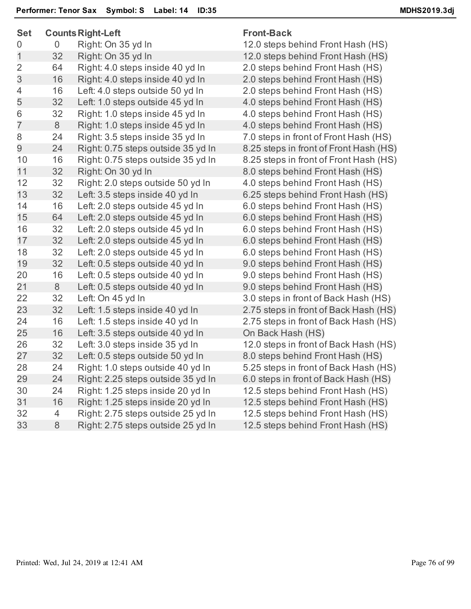| <b>Set</b>     |                | <b>Counts Right-Left</b>           | <b>Front-Back</b>                      |  |
|----------------|----------------|------------------------------------|----------------------------------------|--|
| 0              | $\overline{0}$ | Right: On 35 yd In                 | 12.0 steps behind Front Hash (HS)      |  |
| $\mathbf{1}$   | 32             | Right: On 35 yd In                 | 12.0 steps behind Front Hash (HS)      |  |
| $\overline{2}$ | 64             | Right: 4.0 steps inside 40 yd In   | 2.0 steps behind Front Hash (HS)       |  |
| 3              | 16             | Right: 4.0 steps inside 40 yd In   | 2.0 steps behind Front Hash (HS)       |  |
| $\overline{4}$ | 16             | Left: 4.0 steps outside 50 yd In   | 2.0 steps behind Front Hash (HS)       |  |
| 5              | 32             | Left: 1.0 steps outside 45 yd In   | 4.0 steps behind Front Hash (HS)       |  |
| 6              | 32             | Right: 1.0 steps inside 45 yd In   | 4.0 steps behind Front Hash (HS)       |  |
| $\overline{7}$ | 8              | Right: 1.0 steps inside 45 yd In   | 4.0 steps behind Front Hash (HS)       |  |
| 8              | 24             | Right: 3.5 steps inside 35 yd In   | 7.0 steps in front of Front Hash (HS)  |  |
| 9              | 24             | Right: 0.75 steps outside 35 yd In | 8.25 steps in front of Front Hash (HS) |  |
| 10             | 16             | Right: 0.75 steps outside 35 yd In | 8.25 steps in front of Front Hash (HS) |  |
| 11             | 32             | Right: On 30 yd In                 | 8.0 steps behind Front Hash (HS)       |  |
| 12             | 32             | Right: 2.0 steps outside 50 yd In  | 4.0 steps behind Front Hash (HS)       |  |
| 13             | 32             | Left: 3.5 steps inside 40 yd In    | 6.25 steps behind Front Hash (HS)      |  |
| 14             | 16             | Left: 2.0 steps outside 45 yd In   | 6.0 steps behind Front Hash (HS)       |  |
| 15             | 64             | Left: 2.0 steps outside 45 yd In   | 6.0 steps behind Front Hash (HS)       |  |
| 16             | 32             | Left: 2.0 steps outside 45 yd In   | 6.0 steps behind Front Hash (HS)       |  |
| 17             | 32             | Left: 2.0 steps outside 45 yd In   | 6.0 steps behind Front Hash (HS)       |  |
| 18             | 32             | Left: 2.0 steps outside 45 yd In   | 6.0 steps behind Front Hash (HS)       |  |
| 19             | 32             | Left: 0.5 steps outside 40 yd In   | 9.0 steps behind Front Hash (HS)       |  |
| 20             | 16             | Left: 0.5 steps outside 40 yd In   | 9.0 steps behind Front Hash (HS)       |  |
| 21             | 8              | Left: 0.5 steps outside 40 yd In   | 9.0 steps behind Front Hash (HS)       |  |
| 22             | 32             | Left: On 45 yd In                  | 3.0 steps in front of Back Hash (HS)   |  |
| 23             | 32             | Left: 1.5 steps inside 40 yd In    | 2.75 steps in front of Back Hash (HS)  |  |
| 24             | 16             | Left: 1.5 steps inside 40 yd In    | 2.75 steps in front of Back Hash (HS)  |  |
| 25             | 16             | Left: 3.5 steps outside 40 yd In   | On Back Hash (HS)                      |  |
| 26             | 32             | Left: 3.0 steps inside 35 yd In    | 12.0 steps in front of Back Hash (HS)  |  |
| 27             | 32             | Left: 0.5 steps outside 50 yd In   | 8.0 steps behind Front Hash (HS)       |  |
| 28             | 24             | Right: 1.0 steps outside 40 yd In  | 5.25 steps in front of Back Hash (HS)  |  |
| 29             | 24             | Right: 2.25 steps outside 35 yd In | 6.0 steps in front of Back Hash (HS)   |  |
| 30             | 24             | Right: 1.25 steps inside 20 yd In  | 12.5 steps behind Front Hash (HS)      |  |
| 31             | 16             | Right: 1.25 steps inside 20 yd In  | 12.5 steps behind Front Hash (HS)      |  |
| 32             | 4              | Right: 2.75 steps outside 25 yd In | 12.5 steps behind Front Hash (HS)      |  |
| 33             | $8\,$          | Right: 2.75 steps outside 25 yd In | 12.5 steps behind Front Hash (HS)      |  |
|                |                |                                    |                                        |  |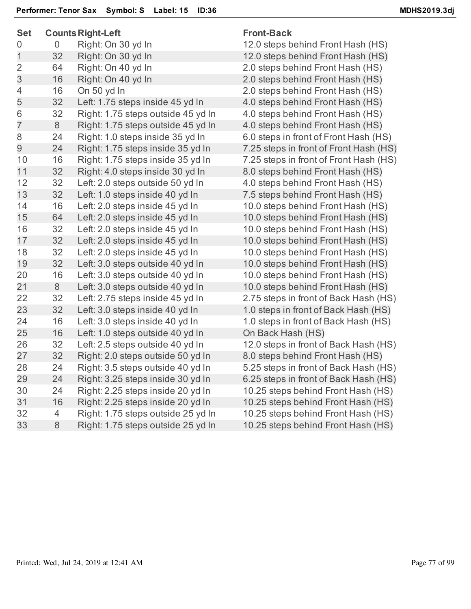| <b>Set</b>     |                | <b>Counts Right-Left</b>           | <b>Front-Back</b>                      |  |
|----------------|----------------|------------------------------------|----------------------------------------|--|
| 0              | $\overline{0}$ | Right: On 30 yd In                 | 12.0 steps behind Front Hash (HS)      |  |
| 1              | 32             | Right: On 30 yd In                 | 12.0 steps behind Front Hash (HS)      |  |
| $\overline{2}$ | 64             | Right: On 40 yd In                 | 2.0 steps behind Front Hash (HS)       |  |
| 3              | 16             | Right: On 40 yd In                 | 2.0 steps behind Front Hash (HS)       |  |
| 4              | 16             | On 50 yd In                        | 2.0 steps behind Front Hash (HS)       |  |
| 5              | 32             | Left: 1.75 steps inside 45 yd In   | 4.0 steps behind Front Hash (HS)       |  |
| 6              | 32             | Right: 1.75 steps outside 45 yd In | 4.0 steps behind Front Hash (HS)       |  |
| $\overline{7}$ | 8              | Right: 1.75 steps outside 45 yd In | 4.0 steps behind Front Hash (HS)       |  |
| 8              | 24             | Right: 1.0 steps inside 35 yd In   | 6.0 steps in front of Front Hash (HS)  |  |
| $\overline{9}$ | 24             | Right: 1.75 steps inside 35 yd In  | 7.25 steps in front of Front Hash (HS) |  |
| 10             | 16             | Right: 1.75 steps inside 35 yd In  | 7.25 steps in front of Front Hash (HS) |  |
| 11             | 32             | Right: 4.0 steps inside 30 yd In   | 8.0 steps behind Front Hash (HS)       |  |
| 12             | 32             | Left: 2.0 steps outside 50 yd In   | 4.0 steps behind Front Hash (HS)       |  |
| 13             | 32             | Left: 1.0 steps inside 40 yd In    | 7.5 steps behind Front Hash (HS)       |  |
| 14             | 16             | Left: 2.0 steps inside 45 yd In    | 10.0 steps behind Front Hash (HS)      |  |
| 15             | 64             | Left: 2.0 steps inside 45 yd In    | 10.0 steps behind Front Hash (HS)      |  |
| 16             | 32             | Left: 2.0 steps inside 45 yd In    | 10.0 steps behind Front Hash (HS)      |  |
| 17             | 32             | Left: 2.0 steps inside 45 yd In    | 10.0 steps behind Front Hash (HS)      |  |
| 18             | 32             | Left: 2.0 steps inside 45 yd In    | 10.0 steps behind Front Hash (HS)      |  |
| 19             | 32             | Left: 3.0 steps outside 40 yd In   | 10.0 steps behind Front Hash (HS)      |  |
| 20             | 16             | Left: 3.0 steps outside 40 yd In   | 10.0 steps behind Front Hash (HS)      |  |
| 21             | 8              | Left: 3.0 steps outside 40 yd In   | 10.0 steps behind Front Hash (HS)      |  |
| 22             | 32             | Left: 2.75 steps inside 45 yd In   | 2.75 steps in front of Back Hash (HS)  |  |
| 23             | 32             | Left: 3.0 steps inside 40 yd In    | 1.0 steps in front of Back Hash (HS)   |  |
| 24             | 16             | Left: 3.0 steps inside 40 yd In    | 1.0 steps in front of Back Hash (HS)   |  |
| 25             | 16             | Left: 1.0 steps outside 40 yd In   | On Back Hash (HS)                      |  |
| 26             | 32             | Left: 2.5 steps outside 40 yd In   | 12.0 steps in front of Back Hash (HS)  |  |
| 27             | 32             | Right: 2.0 steps outside 50 yd In  | 8.0 steps behind Front Hash (HS)       |  |
| 28             | 24             | Right: 3.5 steps outside 40 yd In  | 5.25 steps in front of Back Hash (HS)  |  |
| 29             | 24             | Right: 3.25 steps inside 30 yd In  | 6.25 steps in front of Back Hash (HS)  |  |
| 30             | 24             | Right: 2.25 steps inside 20 yd In  | 10.25 steps behind Front Hash (HS)     |  |
| 31             | 16             | Right: 2.25 steps inside 20 yd In  | 10.25 steps behind Front Hash (HS)     |  |
| 32             | 4              | Right: 1.75 steps outside 25 yd In | 10.25 steps behind Front Hash (HS)     |  |
| 33             | $8\phantom{1}$ | Right: 1.75 steps outside 25 yd In | 10.25 steps behind Front Hash (HS)     |  |
|                |                |                                    |                                        |  |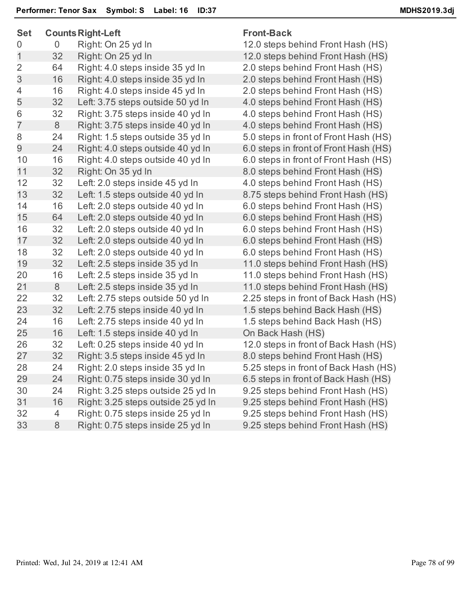| <b>Set</b>     | <b>Counts Right-Left</b> |                                    | <b>Front-Back</b>                     |  |
|----------------|--------------------------|------------------------------------|---------------------------------------|--|
| 0              | 0                        | Right: On 25 yd In                 | 12.0 steps behind Front Hash (HS)     |  |
| $\mathbf 1$    | 32                       | Right: On 25 yd In                 | 12.0 steps behind Front Hash (HS)     |  |
| $\overline{2}$ | 64                       | Right: 4.0 steps inside 35 yd In   | 2.0 steps behind Front Hash (HS)      |  |
| 3              | 16                       | Right: 4.0 steps inside 35 yd In   | 2.0 steps behind Front Hash (HS)      |  |
| 4              | 16                       | Right: 4.0 steps inside 45 yd In   | 2.0 steps behind Front Hash (HS)      |  |
| 5              | 32                       | Left: 3.75 steps outside 50 yd In  | 4.0 steps behind Front Hash (HS)      |  |
| 6              | 32                       | Right: 3.75 steps inside 40 yd In  | 4.0 steps behind Front Hash (HS)      |  |
| $\overline{7}$ | 8                        | Right: 3.75 steps inside 40 yd In  | 4.0 steps behind Front Hash (HS)      |  |
| 8              | 24                       | Right: 1.5 steps outside 35 yd In  | 5.0 steps in front of Front Hash (HS) |  |
| 9              | 24                       | Right: 4.0 steps outside 40 yd In  | 6.0 steps in front of Front Hash (HS) |  |
| 10             | 16                       | Right: 4.0 steps outside 40 yd In  | 6.0 steps in front of Front Hash (HS) |  |
| 11             | 32                       | Right: On 35 yd In                 | 8.0 steps behind Front Hash (HS)      |  |
| 12             | 32                       | Left: 2.0 steps inside 45 yd In    | 4.0 steps behind Front Hash (HS)      |  |
| 13             | 32                       | Left: 1.5 steps outside 40 yd In   | 8.75 steps behind Front Hash (HS)     |  |
| 14             | 16                       | Left: 2.0 steps outside 40 yd In   | 6.0 steps behind Front Hash (HS)      |  |
| 15             | 64                       | Left: 2.0 steps outside 40 yd In   | 6.0 steps behind Front Hash (HS)      |  |
| 16             | 32                       | Left: 2.0 steps outside 40 yd In   | 6.0 steps behind Front Hash (HS)      |  |
| 17             | 32                       | Left: 2.0 steps outside 40 yd In   | 6.0 steps behind Front Hash (HS)      |  |
| 18             | 32                       | Left: 2.0 steps outside 40 yd In   | 6.0 steps behind Front Hash (HS)      |  |
| 19             | 32                       | Left: 2.5 steps inside 35 yd In    | 11.0 steps behind Front Hash (HS)     |  |
| 20             | 16                       | Left: 2.5 steps inside 35 yd In    | 11.0 steps behind Front Hash (HS)     |  |
| 21             | 8                        | Left: 2.5 steps inside 35 yd In    | 11.0 steps behind Front Hash (HS)     |  |
| 22             | 32                       | Left: 2.75 steps outside 50 yd In  | 2.25 steps in front of Back Hash (HS) |  |
| 23             | 32                       | Left: 2.75 steps inside 40 yd In   | 1.5 steps behind Back Hash (HS)       |  |
| 24             | 16                       | Left: 2.75 steps inside 40 yd In   | 1.5 steps behind Back Hash (HS)       |  |
| 25             | 16                       | Left: 1.5 steps inside 40 yd In    | On Back Hash (HS)                     |  |
| 26             | 32                       | Left: 0.25 steps inside 40 yd In   | 12.0 steps in front of Back Hash (HS) |  |
| 27             | 32                       | Right: 3.5 steps inside 45 yd In   | 8.0 steps behind Front Hash (HS)      |  |
| 28             | 24                       | Right: 2.0 steps inside 35 yd In   | 5.25 steps in front of Back Hash (HS) |  |
| 29             | 24                       | Right: 0.75 steps inside 30 yd In  | 6.5 steps in front of Back Hash (HS)  |  |
| 30             | 24                       | Right: 3.25 steps outside 25 yd In | 9.25 steps behind Front Hash (HS)     |  |
| 31             | 16                       | Right: 3.25 steps outside 25 yd In | 9.25 steps behind Front Hash (HS)     |  |
| 32             | 4                        | Right: 0.75 steps inside 25 yd In  | 9.25 steps behind Front Hash (HS)     |  |
| 33             | 8                        | Right: 0.75 steps inside 25 yd In  | 9.25 steps behind Front Hash (HS)     |  |